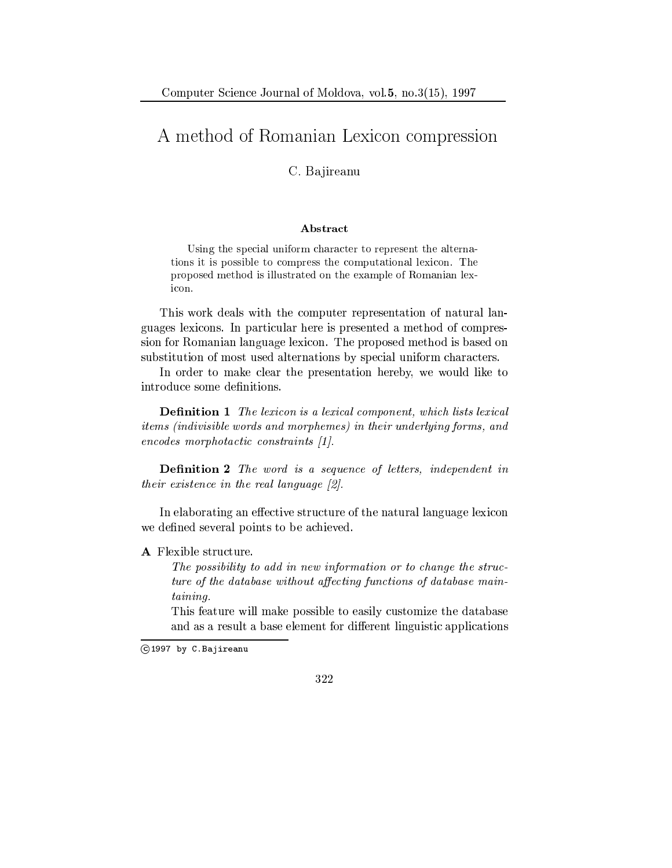## A method of Romanian Lexicon compression

C. Bajireanu

## Abstract

Using the special uniform character to represent the alternations it is possible to compress the computational lexicon. The proposed method is illustrated on the example of Romanian lexicon.

This work deals with the computer representation of natural languages lexicons. In particular here is presented a method of compression for Romanian language lexicon. The proposed method is based on substitution of most used alternations by special uniform characters.

In order to make clear the presentation hereby, we would like to introduce some definitions.

**Definition 1** The lexicon is a lexical component, which lists lexical items (indivisible words and morphemes) in their underlying forms, and  $encodes \ morphotactic \ constraints \ [1].$ 

**Definition 2** The word is a sequence of letters, independent in their existence in the real language  $[2]$ .

In elaborating an effective structure of the natural language lexicon we defined several points to be achieved.

A Flexible structure.

The possibility to add in new information or to change the structure of the database without affecting functions of database main $taining.$ 

This feature will make possible to easily customize the database and as a result a base element for different linguistic applications



C1997 by C.Bajireanu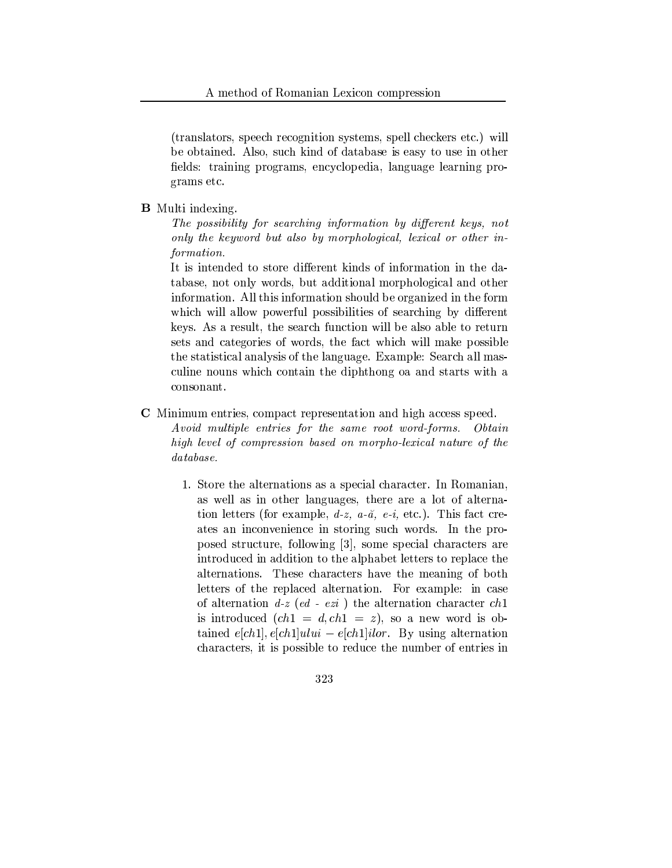(translators, speech recognition systems, spell checkers etc.) will be obtained. Also, such kind of database is easy to use in other fields: training programs, encyclopedia, language learning programs etc.

## **B** Multi indexing.

The possibility for searching information by different keys, not only the keyword but also by morphological, lexical or other information.

It is intended to store different kinds of information in the database, not only words, but additional morphological and other information. All this information should be organized in the form which will allow powerful possibilities of searching by different keys. As a result, the search function will be also able to return sets and categories of words, the fact which will make possible the statistical analysis of the language. Example: Search all masculine nouns which contain the diphthong oa and starts with a consonant.

- **C** Minimum entries, compact representation and high access speed. Avoid multiple entries for the same root word-forms.  $Obtain$ high level of compression based on morpho-lexical nature of the  $database.$ 
	- 1. Store the alternations as a special character. In Romanian, as well as in other languages, there are a lot of alternation letters (for example,  $d-z$ ,  $a-\tilde{a}$ ,  $e-i$ , etc.). This fact creates an inconvenience in storing such words. In the proposed structure, following [3], some special characters are introduced in addition to the alphabet letters to replace the alternations. These characters have the meaning of both letters of the replaced alternation. For example: in case of alternation  $d-z$  (ed - ezi) the alternation character ch1 is introduced  $(ch1 = d, ch1 = z)$ , so a new word is obtained  $e[ch1], e[ch1]$ ului –  $e[ch1]$ ilor. By using alternation characters, it is possible to reduce the number of entries in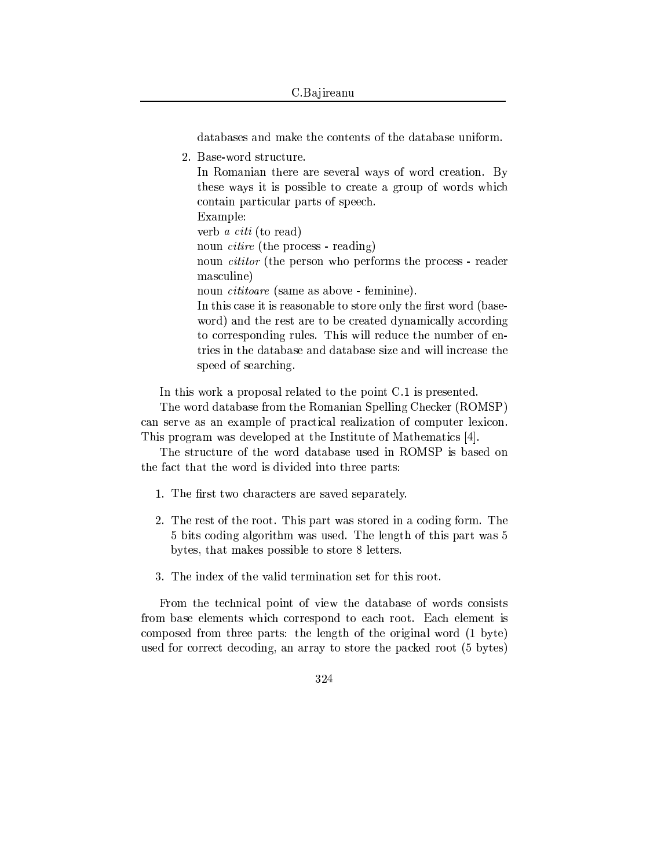databases and make the contents of the database uniform.

2. Base-word structure.

In Romanian there are several ways of word creation. By these ways it is possible to create a group of words which contain particular parts of speech. Example: verb *a citi* (to read) noun *citire* (the process - reading) noun *cititor* (the person who performs the process - reader masculine) noun *cititoare* (same as above - feminine). In this case it is reasonable to store only the first word (baseword) and the rest are to be created dynamically according to corresponding rules. This will reduce the number of entries in the database and database size and will increase the speed of searching.

In this work a proposal related to the point C.1 is presented.

The word database from the Romanian Spelling Checker (ROMSP) can serve as an example of practical realization of computer lexicon. This program was developed at the Institute of Mathematics [4].

The structure of the word database used in ROMSP is based on the fact that the word is divided into three parts:

- 1. The first two characters are saved separately.
- 2. The rest of the root. This part was stored in a coding form. The 5 bits coding algorithm was used. The length of this part was 5 bytes, that makes possible to store 8 letters.
- 3. The index of the valid termination set for this root.

From the technical point of view the database of words consists from base elements which correspond to each root. Each element is composed from three parts: the length of the original word (1 byte) used for correct decoding, an array to store the packed root (5 bytes)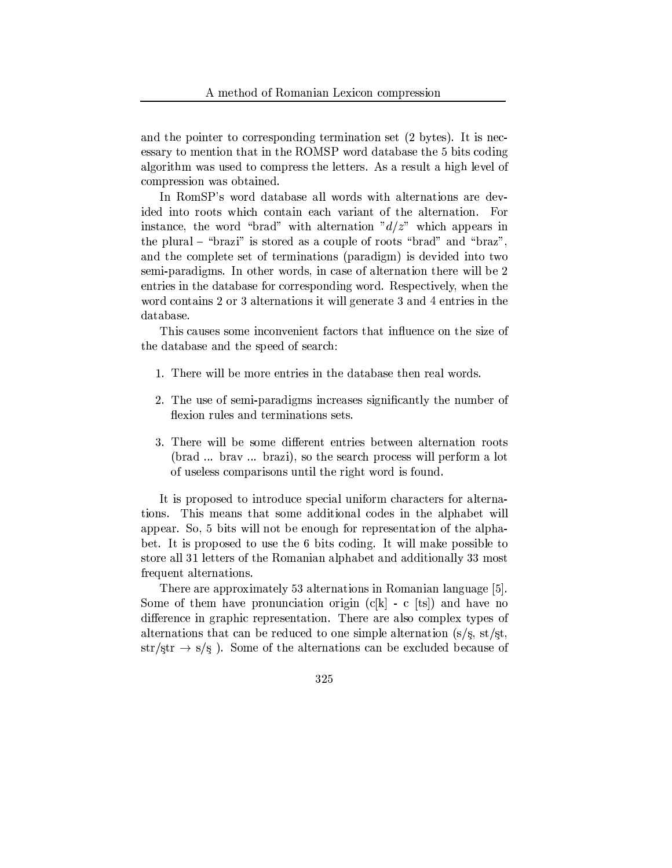and the pointer to corresponding termination set (2 bytes). It is necessary to mention that in the ROMSP word database the 5 bits coding algorithm was used to compress the letters. As a result a high level of compression was obtained.

In RomSP's word database all words with alternations are devided into roots which contain each variant of the alternation. For instance, the word "brad" with alternation " $d/z$ " which appears in the plural - "brazi" is stored as a couple of roots "brad" and "braz", and the complete set of terminations (paradigm) is devided into two semi-paradigms. In other words, in case of alternation there will be 2 entries in the database for corresponding word. Respectively, when the word contains 2 or 3 alternations it will generate 3 and 4 entries in the database.

This causes some inconvenient factors that influence on the size of the database and the speed of search:

- 1. There will be more entries in the database then real words.
- 2. The use of semi-paradigms increases significantly the number of flexion rules and terminations sets.
- 3. There will be some different entries between alternation roots (brad ... brav ... brazi), so the search process will perform a lot of useless comparisons until the right word is found.

It is proposed to introduce special uniform characters for alternations. This means that some additional codes in the alphabet will appear. So, 5 bits will not be enough for representation of the alphabet. It is proposed to use the 6 bits coding. It will make possible to store all 31 letters of the Romanian alphabet and additionally 33 most frequent alternations.

There are approximately 53 alternations in Romanian language [5]. Some of them have pronunciation origin  $(c[k] - c [ts])$  and have no difference in graphic representation. There are also complex types of alternations that can be reduced to one simple alternation  $(s/s, st/st,$  $str/str \rightarrow s/s$ ). Some of the alternations can be excluded because of

$$
325\,
$$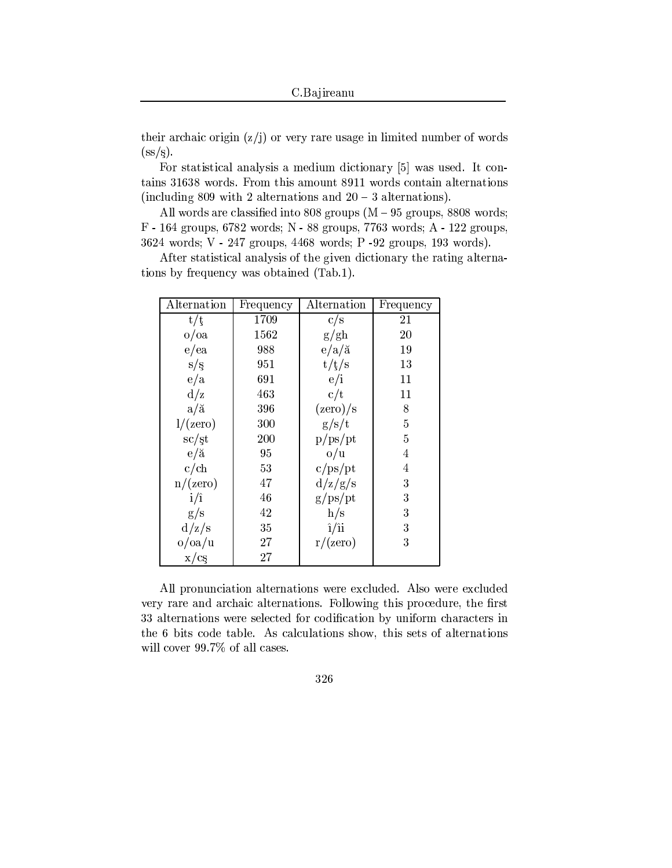their archaic origin  $(z/j)$  or very rare usage in limited number of words  $(s<sub>s</sub>/s).$ 

For statistical analysis a medium dictionary [5] was used. It contains 31638 words. From this amount 8911 words contain alternations (including 809 with 2 alternations and  $20 - 3$  alternations).

All words are classified into 808 groups  $(M - 95$  groups, 8808 words; F - 164 groups, 6782 words; N - 88 groups, 7763 words; A - 122 groups, 3624 words; V - 247 groups, 4468 words; P -92 groups, 193 words).

After statistical analysis of the given dictionary the rating alternations by frequency was obtained (Tab.1).

| Alternation               | Frequency | Alternation              | Frequency      |
|---------------------------|-----------|--------------------------|----------------|
| t/t                       | 1709      | c/s                      | 21             |
| $o/\text{oa}$             | 1562      | g/gh                     | 20             |
| e/ea                      | 988       | $e/a/\check{a}$          | 19             |
| s/s                       | 951       | t/f/s                    | 13             |
| e/a                       | 691       | e/i                      | 11             |
| d/z                       | 463       | c/t                      | 11             |
| $a/\breve{a}$             | 396       | $(\text{zero})/\text{s}$ | 8              |
| 1/(zero)                  | 300       | g/s/t                    | $\overline{5}$ |
| $\mathrm{sc}/\mathrm{st}$ | 200       | p/ps/pt                  | 5              |
| $e/\breve{a}$             | 95        | o/u                      | $\overline{4}$ |
| c/ch                      | 53        | c/ps/pt                  | $\overline{4}$ |
| n/(zero)                  | 47        | d/z/g/s                  | 3              |
| $i/\hat{i}$               | 46        | g/ps/pt                  | 3              |
| g/s                       | 42        | h/s                      | 3              |
| d/z/s                     | 35        | $\hat{i}/\hat{i}$        | 3              |
| o/oa/u                    | 27        | r/(zero)                 | 3              |
| x/cs                      | 27        |                          |                |

All pronunciation alternations were excluded. Also were excluded very rare and archaic alternations. Following this procedure, the first 33 alternations were selected for codification by uniform characters in the 6 bits code table. As calculations show, this sets of alternations will cover 99.7% of all cases.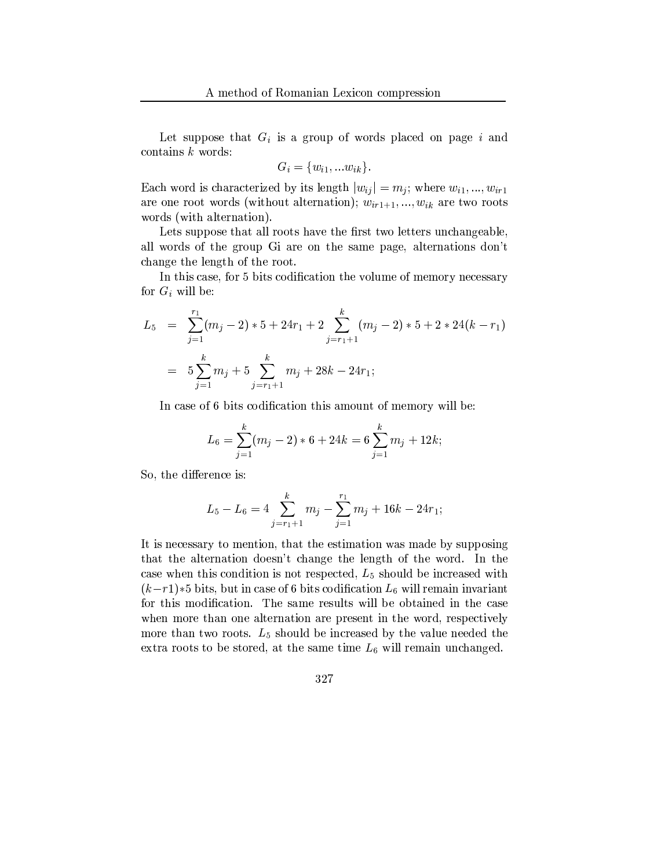Let suppose that  $G_i$  is a group of words placed on page i and contains  $k$  words:

$$
G_i = \{w_{i1}, \dots w_{ik}\}\
$$

Each word is characterized by its length  $|w_{ij}| = m_j$ ; where  $w_{i1}, ..., w_{ir1}$ are one root words (without alternation);  $w_{ir1+1},...,w_{ik}$  are two roots words (with alternation).

Lets suppose that all roots have the first two letters unchangeable, all words of the group Gi are on the same page, alternations don't change the length of the root.

In this case, for 5 bits codification the volume of memory necessary for  $G_i$  will be:

$$
L_5 = \sum_{j=1}^{r_1} (m_j - 2) * 5 + 24r_1 + 2 \sum_{j=r_1+1}^{k} (m_j - 2) * 5 + 2 * 24(k - r_1)
$$
  
=  $5 \sum_{j=1}^{k} m_j + 5 \sum_{j=r_1+1}^{k} m_j + 28k - 24r_1;$ 

In case of 6 bits codification this amount of memory will be:

$$
L_6 = \sum_{j=1}^{k} (m_j - 2) * 6 + 24k = 6 \sum_{j=1}^{k} m_j + 12k;
$$

So, the difference is:

$$
L_5 - L_6 = 4 \sum_{j=r_1+1}^{k} m_j - \sum_{j=1}^{r_1} m_j + 16k - 24r_1;
$$

It is necessary to mention, that the estimation was made by supposing that the alternation doesn't change the length of the word. In the case when this condition is not respected,  $L_5$  should be increased with  $(k-r)$  is bits, but in case of 6 bits codification  $L_6$  will remain invariant for this modification. The same results will be obtained in the case when more than one alternation are present in the word, respectively more than two roots.  $L_5$  should be increased by the value needed the extra roots to be stored, at the same time  $L_6$  will remain unchanged.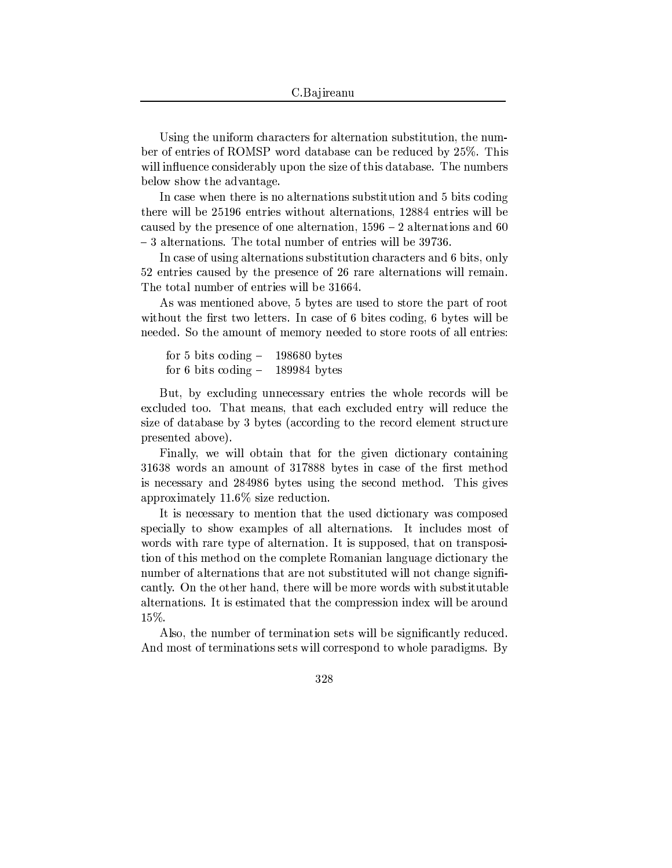Using the uniform characters for alternation substitution, the number of entries of ROMSP word database can be reduced by 25%. This will influence considerably upon the size of this database. The numbers below show the advantage.

In case when there is no alternations substitution and 5 bits coding there will be 25196 entries without alternations, 12884 entries will be caused by the presence of one alternation,  $1596 - 2$  alternations and 60 -3 alternations. The total number of entries will be 39736.

In case of using alternations substitution characters and 6 bits, only 52 entries caused by the presence of 26 rare alternations will remain. The total number of entries will be 31664.

As was mentioned above, 5 bytes are used to store the part of root without the first two letters. In case of 6 bites coding, 6 bytes will be needed. So the amount of memory needed to store roots of all entries:

for 5 bits coding  $198680$  bytes for 6 bits coding  $-$ 189984 bytes

But, by excluding unnecessary entries the whole records will be excluded too. That means, that each excluded entry will reduce the size of database by 3 bytes (according to the record element structure presented above).

Finally, we will obtain that for the given dictionary containing 31638 words an amount of 317888 bytes in case of the first method is necessary and 284986 bytes using the second method. This gives approximately  $11.6\%$  size reduction.

It is necessary to mention that the used dictionary was composed specially to show examples of all alternations. It includes most of words with rare type of alternation. It is supposed, that on transposition of this method on the complete Romanian language dictionary the number of alternations that are not substituted will not change significantly. On the other hand, there will be more words with substitutable alternations. It is estimated that the compression index will be around 15%.

Also, the number of termination sets will be significantly reduced. And most of terminations sets will correspond to whole paradigms. By